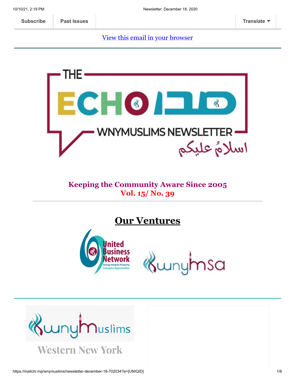[View this email in your browser](https://mailchi.mp/wnymuslims/newsletter-december-18-702034?e=[UNIQID])



### **Keeping the Community Aware Since 2005 Vol. 15/ No. 39**

**Our Ventures**



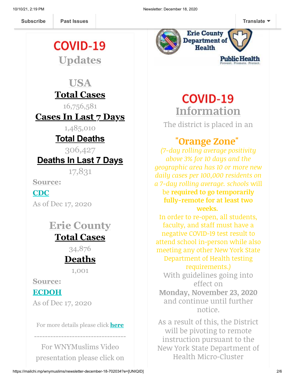# COVID-19

**Updates**

### **USA Total Cases**

16,756,581

**Cases In Last 7 Days**

1,485,010

### **Total Deaths**

306,427

### **Deaths In Last 7 Days**

17,831

**Source:**

**[CDC](https://covid.cdc.gov/covid-data-tracker/?CDC_AA_refVal=https%3A%2F%2Fwww.cdc.gov%2Fcoronavirus%2F2019-ncov%2Fcases-updates%2Fcases-in-us.html#cases_casesinlast7days)**

As of Dec 17, 2020

## **Erie County Total Cases**

34,876

# **Deaths**

1,001

**Source:**

#### **[ECDOH](https://wnymuslims.us13.list-manage.com/track/click?u=19ed6f05ad8527220a10faa63&id=249ef8f8f9&e=375b9d9dab)**

As of Dec 17, 2020

For more details please click **[here](https://wnymuslims.org/event/covid-19-updates/)**

----------------------------------

For WNYMuslims Video presentation please click on



# **COVID-19 Information**

The district is placed in an

## **"Orange Zone"**

*(7-day rolling average positivity above 3% for 10 days and the geographic area has 10 or more new daily cases per 100,000 residents on a 7-day rolling average. schools* will be **required to go temporarily fully-remote for at least two weeks.** 

In order to re-open, all students, faculty, and staff must have a negative COVID-19 test result to attend school in-person while also meeting any other New York State Department of Health testing requirements.*)*

With guidelines going into effect on **Monday, November 23, 2020** and continue until further notice.

As a result of this, the District will be pivoting to remote instruction pursuant to the New York State Department of Health Micro-Cluster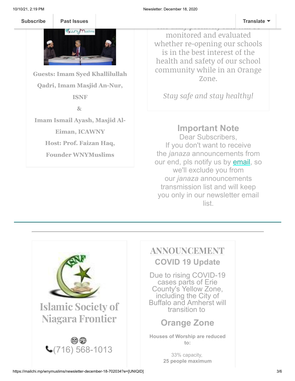t[he thumbnail b](https://us13.campaign-archive.com/home/?u=19ed6f05ad8527220a10faa63&id=636f885f5f)elow **[Subscribe](http://eepurl.com/b19N3D) Past Issues Translate**



**Guests: Imam Syed Khallilullah Qadri, Imam Masjid An-Nur, ISNF**

**&**

**Imam Ismail Ayash, Masjid Al-**

**Eiman, ICAWNY**

**Host: Prof. Faizan Haq,**

**Founder WNYMuslims**

monitored and evaluated whether re-opening our schools is in the best interest of the health and safety of our school community while in an Orange Zone.

<u>the daily positivity rat[e will be](javascript:;) </u>

*Stay safe and stay healthy!*

### **Important Note**

Dear Subscribers, If you don't want to receive the *janaza* announcements from our end, pls notify us by **email**, so we'll exclude you from our *janaza* announcements transmission list and will keep you only in our newsletter email list.



### ANNOUNCEMENT

**COVID 19 Update**

Due to rising COVID-19 cases parts of Erie County's Yellow Zone, including the City of Buffalo and Amherst will transition to

### **Orange Zone**

**Houses of Worship are reduced to:**

> 33% capacity, **25 people maximum**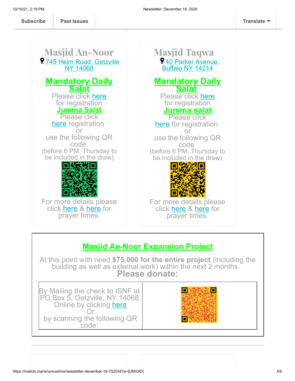Masjid An-Noor **9[745 Heim Road, Getzville](https://www.google.com/maps/place/ISNF+Masjid+An-Noor,+Amherst/@43.0204858,-78.7461322,17z/data=!3m1!4b1!4m5!3m4!1s0x89d376b45c29e355:0x2384d34a4c1ffd88!8m2!3d43.0204858!4d-78.7439435)** NY 14068 **Mandatory Daily Salat** Please click [here](https://docs.google.com/forms/d/e/1FAIpQLSccyGMsKHcNYNV4OLDnXmR7AFi6UItLWtcVURuf-u7qZ6veaw/viewform) for registration **Jumma Salat** Please click [here](https://docs.google.com/forms/d/e/1FAIpQLSeq90LWToXxw8pql2jlSthDK-fQda2cKNee1GK1NyvAO7OxUg/viewform) registration or use the following QR code (before 6 PM, Thursday to be included in the draw) For more details please click [here](https://wnymuslims.org/event/at-mosques/) & [here](http://isnf.org/prayer-times/) for prayer times. Masjid Taqwa 9[40 Parker Avenue,](https://www.google.com/maps/place/Masjid+Taqwa/@43.3093171,-79.5980345,9z/data=!4m8!1m2!2m1!1sMasjid+taqwa!3m4!1s0x89d36d559f03d805:0x1c7451c1c1c01c3d!8m2!3d42.940434!4d-78.8394265) Buffalo NY 14214 **Mandatory Daily Salat**  Please click [here](https://docs.google.com/forms/d/e/1FAIpQLSccyGMsKHcNYNV4OLDnXmR7AFi6UItLWtcVURuf-u7qZ6veaw/viewform) for registration **Jumma salat** Please click [here](http://%20https//tinyurl.com/y8z27jqg) for registration or use the following QR code (before 6 PM, Thursday to be included in the draw) For more details please click [here](https://wnymuslims.org/event/at-mosques/) & [here](http://isnf.org/prayer-times/) for prayer times.

### **Masjid An-Noor Expansion Project**

At this point with need **\$75,000 for the entire project** (including the building as well as external work) within the next 2 months. **Please donate:**

By Mailing the check to ISNF at PO Box 5, Getzville, NY 14068, Online by clicking [here](https://us.mohid.co/ny/buffalo/isnf/masjid/online/donation) Or by scanning the following QR code:

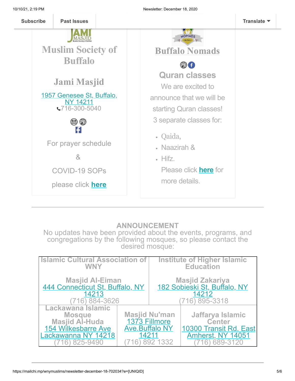

#### **ANNOUNCEMENT**

No updates have been provided about the events, programs, and congregations by the following mosques, so please contact the desired mosque:

| <b>Islamic Cultural Association of</b>                                                                                       |                                | Institute of Higher Islamic                            |                                                                                              |
|------------------------------------------------------------------------------------------------------------------------------|--------------------------------|--------------------------------------------------------|----------------------------------------------------------------------------------------------|
| <b>WNY</b>                                                                                                                   |                                | <b>Education</b>                                       |                                                                                              |
| Masjid Al-Eiman<br>444 Connecticut St, Buffalo, NY                                                                           |                                | Masjid Zakariya<br><u>182 Sobieski St, Buffalo, NY</u> |                                                                                              |
| 14213                                                                                                                        |                                | 14212                                                  |                                                                                              |
| (716) 884-3626                                                                                                               |                                | 716) 895-3318                                          |                                                                                              |
| Lackawana Islamic<br><b>Mosque</b><br><b>Masjid Al-Huda</b><br><b>154 Wilkesbarre Ave</b><br>Lackawanna NY 14218<br>825-9490 | <b>Ave.Buffalo NY</b><br>14211 | <b>Masjid Nu'man</b><br>1373 Fillmore<br>892 1332      | Jaffarya Islamic<br><b>Center</b><br>10300 Transit Rd. East<br>Amherst, NY 14051<br>689-3120 |